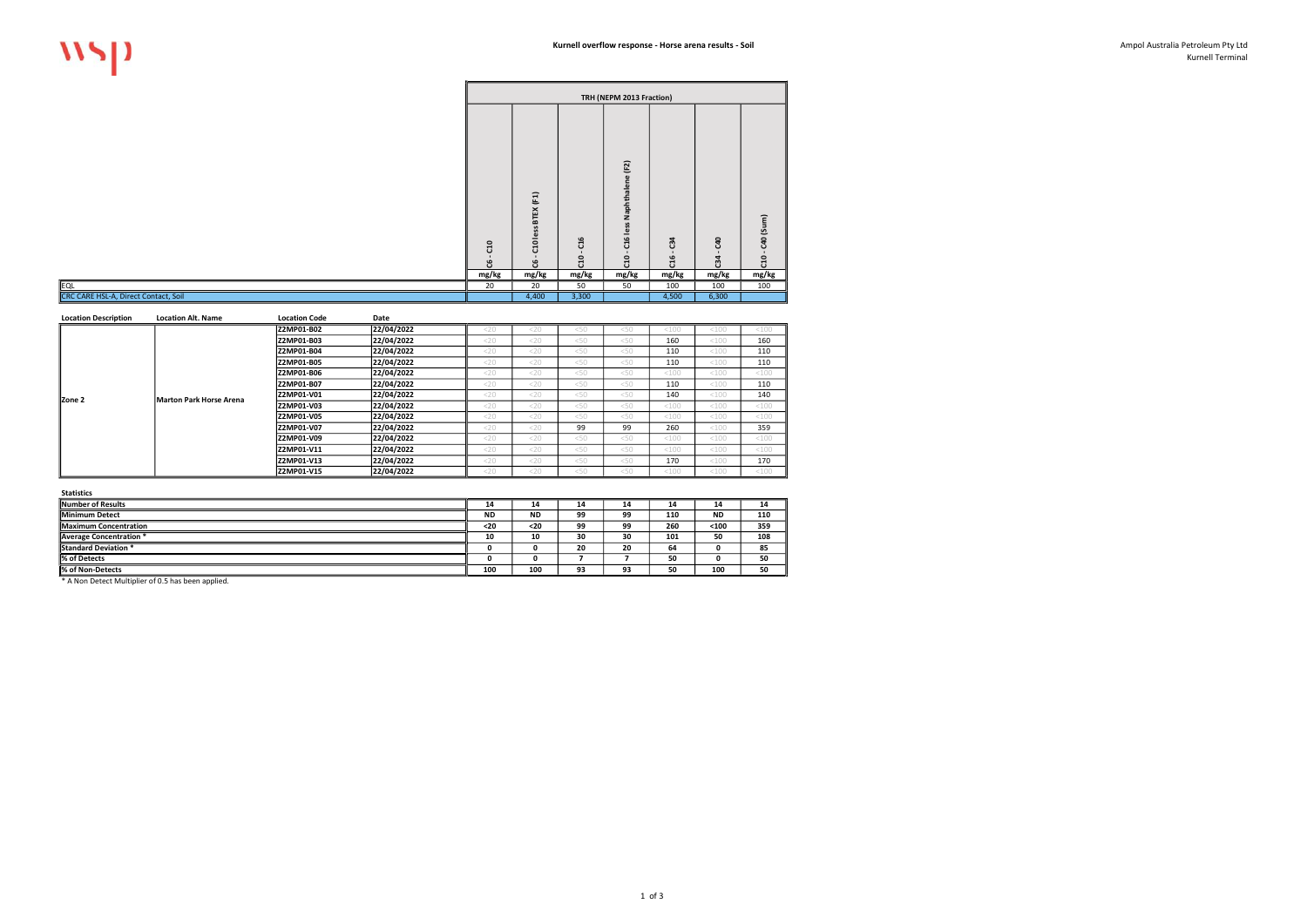Kurnell Terminal

|                                      |                                |                                                                      |                                 | TRH (NEPM 2013 Fraction)                                                            |                                 |                     |                                                  |
|--------------------------------------|--------------------------------|----------------------------------------------------------------------|---------------------------------|-------------------------------------------------------------------------------------|---------------------------------|---------------------|--------------------------------------------------|
|                                      | C <sub>10</sub><br>ಜಿ<br>mg/kg | BTEX (F1)<br>less<br>C <sub>10</sub><br>$\blacksquare$<br>ಀ<br>mg/kg | C16<br>C <sub>10</sub><br>mg/kg | (F2)<br>$\mathbf{a}$<br>$\mathbf{a}$<br>ᅙ<br>Naphtha<br>less<br>C16<br>C10<br>mg/kg | C <sub>34</sub><br>C16<br>mg/kg | C40<br>C34<br>mg/kg | C40 (Sum)<br>$\blacksquare$<br><b>ដ</b><br>mg/kg |
| EQL                                  | 20                             | 20                                                                   | 50                              | 50                                                                                  | 100                             | 100                 | 100                                              |
| CRC CARE HSL-A, Direct Contact, Soil |                                | 4,400                                                                | 3,300                           |                                                                                     | 4,500                           | 6,300               |                                                  |

| <b>Location Description</b> | <b>Location Alt. Name</b> | <b>Location Code</b> | Date       |        |        |      |      |         |         |       |
|-----------------------------|---------------------------|----------------------|------------|--------|--------|------|------|---------|---------|-------|
|                             |                           | Z2MP01-B02           | 22/04/2022 | $<$ 20 | 20     | < 50 | < 50 | $<$ 100 | < 100   | < 100 |
|                             |                           | <b>Z2MP01-B03</b>    | 22/04/2022 | $<$ 20 | $<$ 20 | < 50 | <50  | 160     | < 100   | 160   |
|                             |                           | <b>Z2MP01-B04</b>    | 22/04/2022 | $<$ 20 | $<$ 20 | < 50 | <50  | 110     | < 100   | 110   |
|                             |                           | <b>Z2MP01-B05</b>    | 22/04/2022 | $<$ 20 | $<$ 20 | < 50 | <50  | 110     | <100    | 110   |
|                             |                           | <b>Z2MP01-B06</b>    | 22/04/2022 | $<$ 20 | $<$ 20 | < 50 | <50  | <100    | < 100   | < 100 |
|                             |                           | <b>Z2MP01-B07</b>    | 22/04/2022 | $<$ 20 | $<$ 20 | < 50 | <50  | 110     | < 100   | 110   |
| IZone 2                     | Marton Park Horse Arena   | <b>Z2MP01-V01</b>    | 22/04/2022 | $<$ 20 | $<$ 20 | < 50 | <50  | 140     | $<$ 100 | 140   |
|                             |                           | <b>Z2MP01-V03</b>    | 22/04/2022 | $<$ 20 | $<$ 20 | < 50 | <50  | < 100   | < 100   | < 100 |
|                             |                           | <b>Z2MP01-V05</b>    | 22/04/2022 | <20    | $<$ 20 | <50  | <50  | < 100   | < 100   | < 100 |
|                             |                           | IZ2MP01-V07          | 22/04/2022 | $<$ 20 | $<$ 20 | 99   | 99   | 260     | < 100   | 359   |
|                             |                           | <b>Z2MP01-V09</b>    | 22/04/2022 | $<$ 20 | $<$ 20 | < 50 | <50  | < 100   | < 100   | < 100 |
|                             |                           | <b>Z2MP01-V11</b>    | 22/04/2022 | $<$ 20 | $<$ 20 | < 50 | <50  | <100    | < 100   | < 100 |
|                             |                           | <b>Z2MP01-V13</b>    | 22/04/2022 | $<$ 20 | $<$ 20 | < 50 | <50  | 170     | $<$ 100 | 170   |
|                             |                           | Z2MP01-V15           | 22/04/2022 | $<$ 20 | $<$ 20 | < 50 | <50  | <100    | $<$ 100 | <100  |

| --------                       |           |           |    |    |     |           |     |
|--------------------------------|-----------|-----------|----|----|-----|-----------|-----|
| Number of Results              | 14        | 14        | 14 | 14 | 14  | 14        | 14  |
| Minimum Detect                 | <b>ND</b> | <b>ND</b> | 99 | 99 | 110 | <b>ND</b> | 110 |
| <b>IMaximum Concentration</b>  | $20$      | <20       | 99 | 99 | 260 | $100$     | 359 |
| <b>Average Concentration *</b> | 10        | 10        | 30 | 30 | 101 | 50        | 108 |
| <b>Standard Deviation</b>      |           |           | 20 | 20 | 64  |           | 85  |
| % of Detects                   |           |           |    |    | 50  |           | 50  |
| % of Non-Detects               | 100       | 100       | 93 | 93 | 50  | 100       | 50  |
| $\sim$ $\sim$ $\sim$           |           |           |    |    |     |           |     |

\* A Non Detect Multiplier of 0.5 has been applied.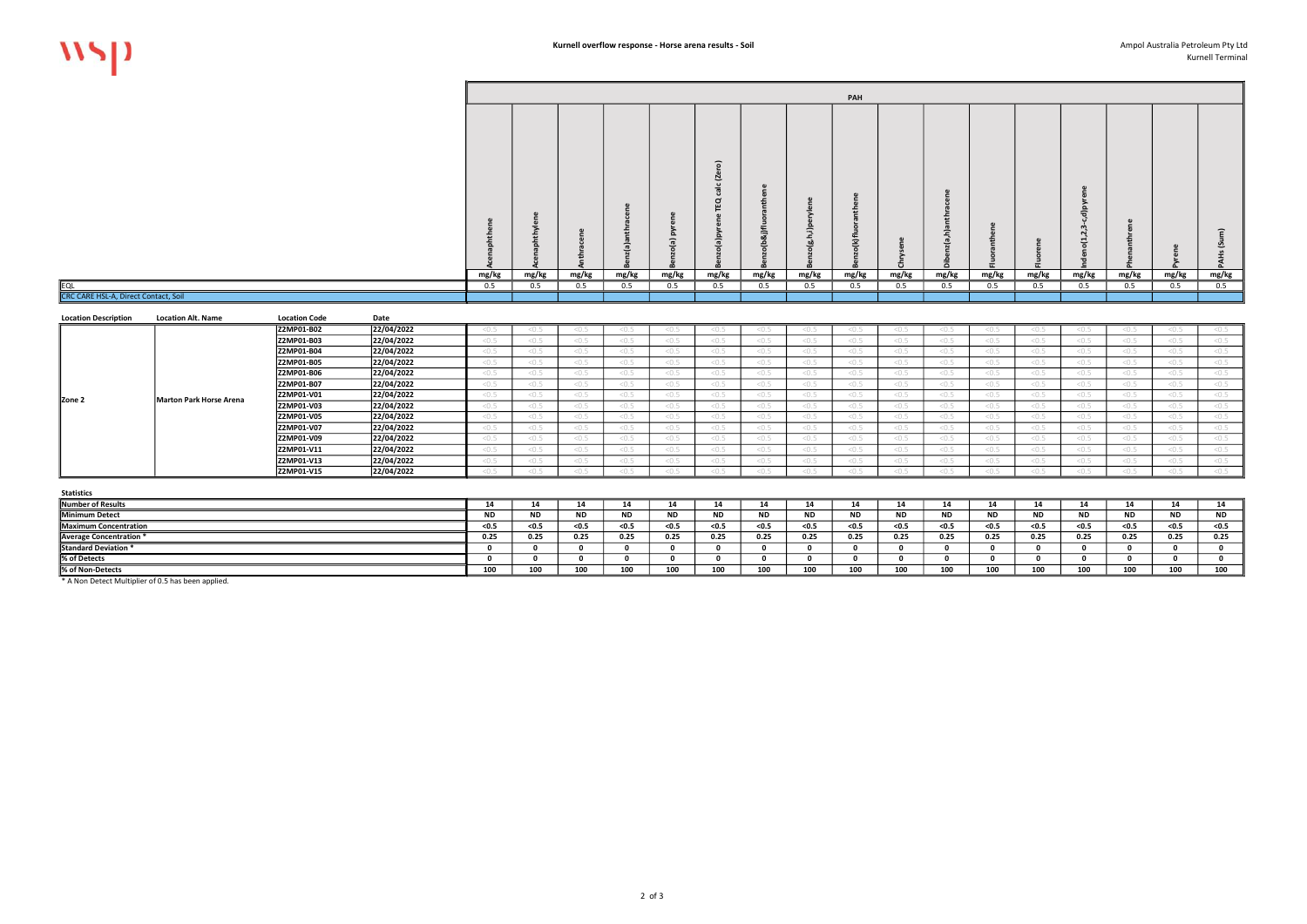## Kurnell Terminal

 $\overline{a}$ 

\* A Non Detect Multiplier of 0.5 has been applied.

| <b>LOCALION DESCRIPTION</b> | <b>EVOLUTION AND INCLUDE</b> | LUCULIUII CUUC    | pace       |       |       |       |       |       |       |       |       |       |         |       |       |       |       |       |       |
|-----------------------------|------------------------------|-------------------|------------|-------|-------|-------|-------|-------|-------|-------|-------|-------|---------|-------|-------|-------|-------|-------|-------|
|                             |                              | Z2MP01-B02        | 22/04/2022 |       |       |       |       |       |       |       | < 0.5 |       |         |       |       |       | < 0.5 |       |       |
|                             |                              | Z2MP01-B03        | 22/04/2022 | < 0.5 | :0.5  |       |       |       |       |       | < 0.5 | < 0.5 | 5.0.5   |       |       |       | < 0.5 |       |       |
|                             |                              | Z2MP01-B04        | 22/04/2022 | < 0.5 | < 0.5 |       |       | < 0.5 | < 0.5 | < 0.5 | < 0.5 | < 0.5 | < 0.5   |       |       |       | < 0.5 | < 0.5 | < 0.5 |
|                             |                              | <b>Z2MP01-B05</b> | 22/04/2022 | 5.0.5 | < 0.5 |       |       | < 0.5 | < 0.5 | < 0.5 | < 0.5 | < 0.5 | 5.0.5   |       |       |       | < 0.5 | < 0.5 | < 0.5 |
|                             |                              | Z2MP01-B06        | 22/04/2022 | 5.0.5 | :0.5  |       |       | < 0.5 | < 0.5 | < 0.5 | < 0.5 | < 0.5 | 5.0.5   |       |       |       | < 0.5 | < 0.5 | < 0.5 |
|                             |                              | Z2MP01-B07        | 22/04/2022 | 5.0.5 | 5.0   |       |       | < 0.5 | < 0.5 | < 0.5 | < 0.5 | < 0.5 | < 0.5   |       |       |       | < 0.5 | < 0.5 | < 0.5 |
| Zone 2                      | Marton Park Horse Arena      | Z2MP01-V01        | 22/04/2022 | < 0.5 | < 0.5 |       |       | < 0.5 | < 0.5 | < 0.5 | < 0.5 | < 0.5 | < 0.5   |       |       |       | < 0.5 | < 0.5 | < 0.5 |
|                             |                              | Z2MP01-V03        | 22/04/2022 | < 0.5 | < 0.5 |       | < 0.5 | < 0.5 | < 0.5 | < 0.5 | < 0.5 | < 0.5 | < 0.5   |       |       |       | < 0.5 | < 0.5 | < 0.5 |
|                             |                              | Z2MP01-V05        | 22/04/2022 | < 0.5 | < 0.5 |       |       | < 0.5 | < 0.5 | < 0.5 | < 0.5 | < 0.5 | < 0.5   |       |       |       | < 0.5 | < 0.5 | < 0.5 |
|                             |                              | Z2MP01-V07        | 22/04/2022 | < 0.5 | < 0.5 | < 0.5 | < 0.5 | < 0.5 | < 0.5 | < 0.5 | < 0.5 | < 0.5 | < 0.5   |       | < 0.5 |       | < 0.5 | < 0.5 | < 0.5 |
|                             |                              | Z2MP01-V09        | 22/04/2022 | < 0.5 | < 0.5 |       | < 0.5 | < 0.5 | < 0.5 | < 0.5 | < 0.5 | < 0.5 | < 0.5   | < 0.5 |       | < 0.5 | < 0.5 | < 0.5 | < 0.5 |
|                             |                              | Z2MP01-V11        | 22/04/2022 | < 0.5 | < 0.5 |       | < 0.5 | < 0.5 | < 0.5 | < 0.5 | < 0.5 | < 0.5 | $<$ 0.5 |       |       |       | < 0.5 | < 0.5 | < 0.5 |
|                             |                              | <b>Z2MP01-V13</b> | 22/04/2022 | 5.0.5 | 50.5  |       |       | < 0.5 | < 0.5 | < 0.5 | < 0.5 | < 0.5 | 5.0.5   |       |       |       | < 0.5 | < 0.5 | < 0.5 |
|                             |                              | Z2MP01-V15        | 22/04/2022 | 50.5  | :0.5  |       |       | < 0.5 |       |       | < 0.5 |       | 50.5    |       |       |       | < 0.5 | SU.J  | < 0.5 |
|                             |                              |                   |            |       |       |       |       |       |       |       |       |       |         |       |       |       |       |       |       |

|                                      |                           |                      |                                  |       |       |       |       |                      |         |                      |                      | PAH   |       |            |       |                      |       |       |       |       |
|--------------------------------------|---------------------------|----------------------|----------------------------------|-------|-------|-------|-------|----------------------|---------|----------------------|----------------------|-------|-------|------------|-------|----------------------|-------|-------|-------|-------|
|                                      |                           |                      |                                  |       |       |       |       |                      | ົດ<br>⊵ | ৣ                    |                      |       |       |            |       |                      |       |       |       |       |
|                                      |                           |                      |                                  |       |       |       |       |                      |         |                      |                      |       |       |            |       |                      |       |       |       |       |
|                                      |                           |                      |                                  | mg/kg | mg/kg | mg/kg | mg/kg | mg/kg                | mg/kg   | mg/kg                | mg/kg                | mg/kg | mg/kg | mg/kg      | mg/kg | mg/kg                | mg/kg | mg/kg | mg/kg | mg/kg |
| <b>EQL</b>                           |                           |                      |                                  | 0.5   | 0.5   | 0.5   | 0.5   | 0.5                  | 0.5     | 0.5                  | 0.5                  | 0.5   | 0.5   | 0.5        | 0.5   | 0.5                  | 0.5   | 0.5   | 0.5   | 0.5   |
| CRC CARE HSL-A, Direct Contact, Soil |                           |                      |                                  |       |       |       |       |                      |         |                      |                      |       |       |            |       |                      |       |       |       |       |
| <b>Location Description</b>          | <b>Location Alt. Name</b> | <b>Location Code</b> | Date                             |       |       |       |       |                      |         |                      |                      |       |       |            |       |                      |       |       |       |       |
|                                      |                           | Z2MP01-B02           | 22/04/2022                       | < 0.5 | < 0.5 | < 0.5 | < 0.5 | < 0.5                | < 0.5   | < 0.5                | < 0.5                | < 0.5 | < 0.5 | < 0.5      | < 0.5 | < 0.5                | < 0.5 | < 0.5 | < 0.5 | < 0.5 |
|                                      |                           | Z2MP01-B03           | 22/04/2022                       | < 0.5 | < 0.5 | < 0.5 | < 0.5 | < 0.5                | < 0.5   | < 0.5                | < 0.5                | < 0.5 | < 0.5 | < 0.5      | < 0.5 | < 0.5                | < 0.5 | < 0.5 | < 0.5 | < 0.5 |
|                                      |                           | Z2MP01-B04           | 22/04/2022                       | < 0.5 | < 0.5 | < 0.5 | < 0.5 | < 0.5                | < 0.5   | < 0.5                | < 0.5                | < 0.5 | < 0.5 | < 0.5      | < 0.5 | < 0.5                | < 0.5 | < 0.5 | < 0.5 | < 0.5 |
|                                      |                           | Z2MP01-B05           | 22/04/2022                       | < 0.5 | < 0.5 | < 0.5 | < 0.5 | < 0.5                | < 0.5   | < 0.5                | < 0.5                | < 0.5 | < 0.5 | < 0.5      | < 0.5 | < 0.5                | < 0.5 | < 0.5 | < 0.5 | < 0.5 |
|                                      |                           | Z2MP01-B06           | 22/04/2022                       | < 0.5 | < 0.5 | < 0.5 | < 0.5 | < 0.5                | < 0.5   | < 0.5                | < 0.5                | < 0.5 | < 0.5 | < 0.5      | < 0.5 | < 0.5                | < 0.5 | < 0.5 | < 0.5 | < 0.5 |
|                                      |                           | Z2MP01-B07           | 22/04/2022                       | < 0.5 | < 0.5 | < 0.5 | < 0.5 | < 0.5                | < 0.5   | < 0.5                | < 0.5                | < 0.5 | < 0.5 | < 0.5      | < 0.5 | < 0.5                | < 0.5 | < 0.5 | < 0.5 | < 0.5 |
| Zone 2                               | Marton Park Horse Arena   | Z2MP01-V01           | 22/04/2022                       | < 0.5 | < 0.5 | < 0.5 | < 0.5 | < 0.5                | < 0.5   | < 0.5                | < 0.5                | < 0.5 | < 0.5 | < 0.5      | < 0.5 | < 0.5                | < 0.5 | < 0.5 | < 0.5 | < 0.5 |
|                                      |                           | 17284004302          | $\begin{array}{c} \n\end{array}$ |       |       |       |       | $\sim$ $\sim$ $\sim$ |         | $\sim$ $\sim$ $\sim$ | $\sim$ $\sim$ $\sim$ |       |       | $\sim$ $-$ |       | $\sim$ $\sim$ $\sim$ |       |       |       |       |

| <b>Statistics</b>       |      |       |         |      |      |       |      |           |                   |       |            |         |           |           |      |           |           |
|-------------------------|------|-------|---------|------|------|-------|------|-----------|-------------------|-------|------------|---------|-----------|-----------|------|-----------|-----------|
| Number of Results       |      |       |         |      |      |       | 14   |           |                   |       |            |         |           |           |      |           | -14       |
| Minimum Detect          |      |       | ND.     | ND.  | ND.  | IVL   |      | <b>ND</b> |                   |       | <b>ND</b>  | - NL    | <b>ND</b> | <b>ND</b> | 14 L | <b>ND</b> | <b>ND</b> |
| Maximum Concentration   | <0.5 | < 0.5 | $<$ 0.5 | <0.5 | <0.5 | < 0.5 | <0.5 | < 0.5     | $<$ 0.5           | < 0.5 | < 0.5      | $<$ 0.5 | $<$ 0.5   | <0.5      | w.   | <0.5      | < 0.5     |
| Average Concentration * | 0.25 | 0.25  | 0.25    | 0.25 | 0.25 | 0.25  | 0.25 | 0.25      | 0.25              | 0.25  | 0.25       | 0.25    | 0.25      | 0.25      | 0.25 | 0.25      | 0.25      |
| Standard Deviation *    |      |       |         |      |      |       |      |           |                   |       |            |         |           |           |      |           |           |
| % of Detects            |      |       |         |      |      |       |      |           |                   |       |            |         |           |           |      |           |           |
| % of Non-Detects        | ∸vv  | 100   |         | 100  | 100  | 100   | 100  | 100       | 100<br><b>IUU</b> |       | 100<br>⊥∪u |         | 100       |           | 100  | 100       | 100       |